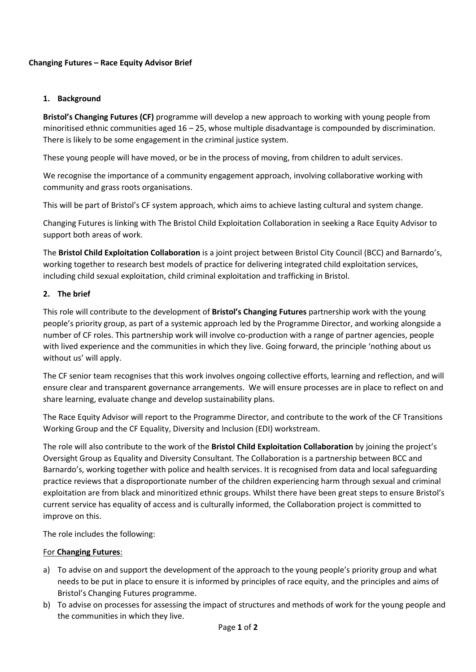# **Changing Futures – Race Equity Advisor Brief**

# **1. Background**

**Bristol's Changing Futures (CF)** programme will develop a new approach to working with young people from minoritised ethnic communities aged 16 – 25, whose multiple disadvantage is compounded by discrimination. There is likely to be some engagement in the criminal justice system.

These young people will have moved, or be in the process of moving, from children to adult services.

We recognise the importance of a community engagement approach, involving collaborative working with community and grass roots organisations.

This will be part of Bristol's CF system approach, which aims to achieve lasting cultural and system change.

Changing Futures is linking with The Bristol Child Exploitation Collaboration in seeking a Race Equity Advisor to support both areas of work.

The **Bristol Child Exploitation Collaboration** is a joint project between Bristol City Council (BCC) and Barnardo's, working together to research best models of practice for delivering integrated child exploitation services, including child sexual exploitation, child criminal exploitation and trafficking in Bristol.

## **2. The brief**

This role will contribute to the development of **Bristol's Changing Futures** partnership work with the young people's priority group, as part of a systemic approach led by the Programme Director, and working alongside a number of CF roles. This partnership work will involve co-production with a range of partner agencies, people with lived experience and the communities in which they live. Going forward, the principle 'nothing about us without us' will apply.

The CF senior team recognises that this work involves ongoing collective efforts, learning and reflection, and will ensure clear and transparent governance arrangements. We will ensure processes are in place to reflect on and share learning, evaluate change and develop sustainability plans.

The Race Equity Advisor will report to the Programme Director, and contribute to the work of the CF Transitions Working Group and the CF Equality, Diversity and Inclusion (EDI) workstream.

The role will also contribute to the work of the **Bristol Child Exploitation Collaboration** by joining the project's Oversight Group as Equality and Diversity Consultant. The Collaboration is a partnership between BCC and Barnardo's, working together with police and health services. It is recognised from data and local safeguarding practice reviews that a disproportionate number of the children experiencing harm through sexual and criminal exploitation are from black and minoritized ethnic groups. Whilst there have been great steps to ensure Bristol's current service has equality of access and is culturally informed, the Collaboration project is committed to improve on this.

The role includes the following:

#### For **Changing Futures**:

- a) To advise on and support the development of the approach to the young people's priority group and what needs to be put in place to ensure it is informed by principles of race equity, and the principles and aims of Bristol's Changing Futures programme.
- b) To advise on processes for assessing the impact of structures and methods of work for the young people and the communities in which they live.